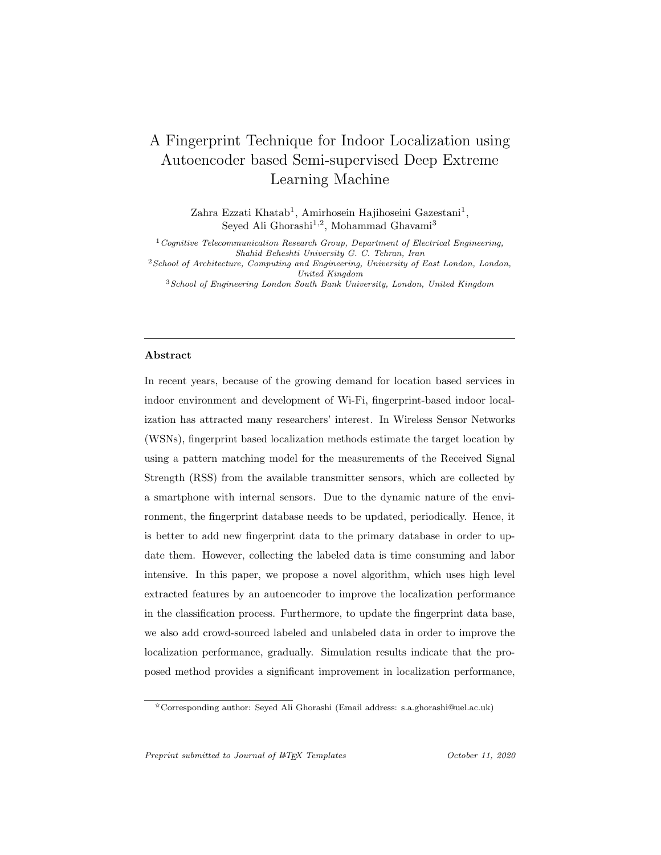# A Fingerprint Technique for Indoor Localization using Autoencoder based Semi-supervised Deep Extreme Learning Machine

Zahra Ezzati Khatab<sup>1</sup>, Amirhosein Hajihoseini Gazestani<sup>1</sup>, Seyed Ali Ghorashi<sup>1,2</sup>, Mohammad Ghavami<sup>3</sup>

 $1$  Cognitive Telecommunication Research Group, Department of Electrical Engineering, Shahid Beheshti University G. C. Tehran, Iran  $2$ School of Architecture, Computing and Engineering, University of East London, London, United Kingdom

<sup>3</sup>School of Engineering London South Bank University, London, United Kingdom

#### Abstract

In recent years, because of the growing demand for location based services in indoor environment and development of Wi-Fi, fingerprint-based indoor localization has attracted many researchers' interest. In Wireless Sensor Networks (WSNs), fingerprint based localization methods estimate the target location by using a pattern matching model for the measurements of the Received Signal Strength (RSS) from the available transmitter sensors, which are collected by a smartphone with internal sensors. Due to the dynamic nature of the environment, the fingerprint database needs to be updated, periodically. Hence, it is better to add new fingerprint data to the primary database in order to update them. However, collecting the labeled data is time consuming and labor intensive. In this paper, we propose a novel algorithm, which uses high level extracted features by an autoencoder to improve the localization performance in the classification process. Furthermore, to update the fingerprint data base, we also add crowd-sourced labeled and unlabeled data in order to improve the localization performance, gradually. Simulation results indicate that the proposed method provides a significant improvement in localization performance,

<sup>✩</sup>Corresponding author: Seyed Ali Ghorashi (Email address: s.a.ghorashi@uel.ac.uk)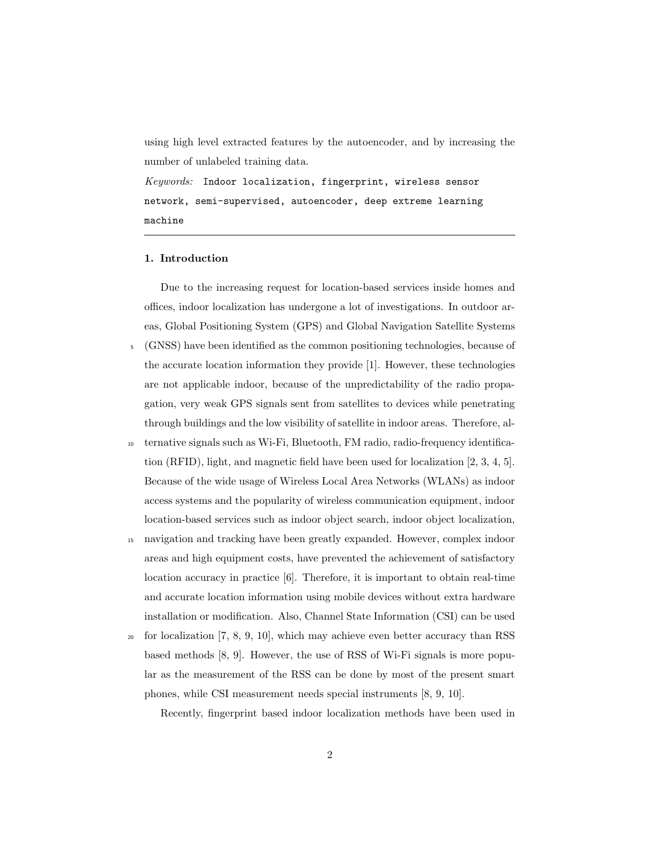using high level extracted features by the autoencoder, and by increasing the number of unlabeled training data.

 $Keywords:$  Indoor localization, fingerprint, wireless sensor network, semi-supervised, autoencoder, deep extreme learning machine

#### 1. Introduction

Due to the increasing request for location-based services inside homes and offices, indoor localization has undergone a lot of investigations. In outdoor areas, Global Positioning System (GPS) and Global Navigation Satellite Systems

- <sup>5</sup> (GNSS) have been identified as the common positioning technologies, because of the accurate location information they provide [1]. However, these technologies are not applicable indoor, because of the unpredictability of the radio propagation, very weak GPS signals sent from satellites to devices while penetrating through buildings and the low visibility of satellite in indoor areas. Therefore, al-
- <sup>10</sup> ternative signals such as Wi-Fi, Bluetooth, FM radio, radio-frequency identification (RFID), light, and magnetic field have been used for localization [2, 3, 4, 5]. Because of the wide usage of Wireless Local Area Networks (WLANs) as indoor access systems and the popularity of wireless communication equipment, indoor location-based services such as indoor object search, indoor object localization,
- <sup>15</sup> navigation and tracking have been greatly expanded. However, complex indoor areas and high equipment costs, have prevented the achievement of satisfactory location accuracy in practice [6]. Therefore, it is important to obtain real-time and accurate location information using mobile devices without extra hardware installation or modification. Also, Channel State Information (CSI) can be used
- $_{20}$  for localization [7, 8, 9, 10], which may achieve even better accuracy than RSS based methods [8, 9]. However, the use of RSS of Wi-Fi signals is more popular as the measurement of the RSS can be done by most of the present smart phones, while CSI measurement needs special instruments [8, 9, 10].

Recently, fingerprint based indoor localization methods have been used in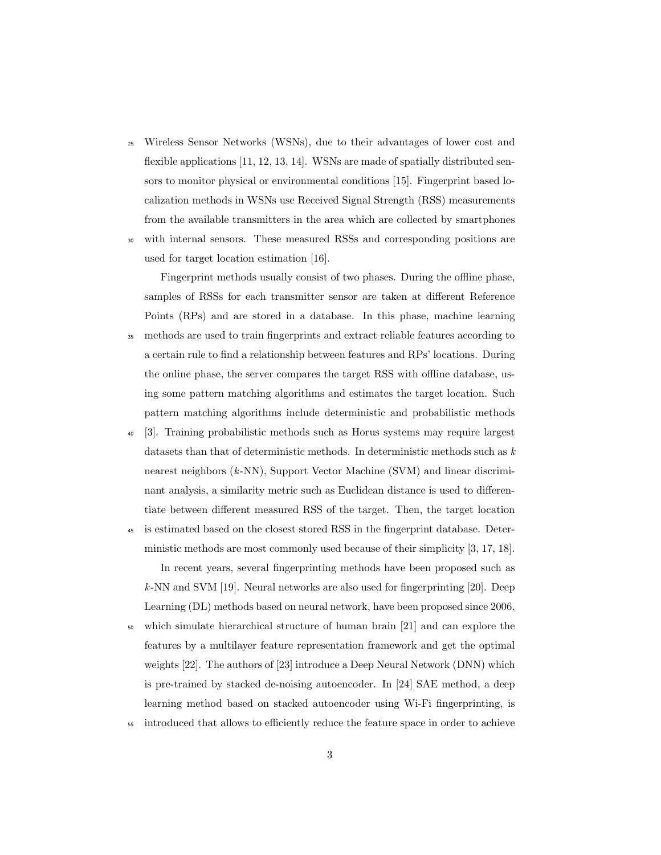- <sup>25</sup> Wireless Sensor Networks (WSNs), due to their advantages of lower cost and flexible applications [11, 12, 13, 14]. WSNs are made of spatially distributed sensors to monitor physical or environmental conditions [15]. Fingerprint based localization methods in WSNs use Received Signal Strength (RSS) measurements from the available transmitters in the area which are collected by smartphones
- <sup>30</sup> with internal sensors. These measured RSSs and corresponding positions are used for target location estimation [16].

Fingerprint methods usually consist of two phases. During the offline phase, samples of RSSs for each transmitter sensor are taken at different Reference Points (RPs) and are stored in a database. In this phase, machine learning

- <sup>35</sup> methods are used to train fingerprints and extract reliable features according to a certain rule to find a relationship between features and RPs' locations. During the online phase, the server compares the target RSS with offline database, using some pattern matching algorithms and estimates the target location. Such pattern matching algorithms include deterministic and probabilistic methods
- <sup>40</sup> [3]. Training probabilistic methods such as Horus systems may require largest datasets than that of deterministic methods. In deterministic methods such as  $k$ nearest neighbors  $(k-NN)$ , Support Vector Machine (SVM) and linear discriminant analysis, a similarity metric such as Euclidean distance is used to differentiate between different measured RSS of the target. Then, the target location
- <sup>45</sup> is estimated based on the closest stored RSS in the fingerprint database. Deterministic methods are most commonly used because of their simplicity [3, 17, 18].

In recent years, several fingerprinting methods have been proposed such as k-NN and SVM [19]. Neural networks are also used for fingerprinting [20]. Deep Learning (DL) methods based on neural network, have been proposed since 2006,

- <sup>50</sup> which simulate hierarchical structure of human brain [21] and can explore the features by a multilayer feature representation framework and get the optimal weights [22]. The authors of [23] introduce a Deep Neural Network (DNN) which is pre-trained by stacked de-noising autoencoder. In [24] SAE method, a deep learning method based on stacked autoencoder using Wi-Fi fingerprinting, is
- <sup>55</sup> introduced that allows to efficiently reduce the feature space in order to achieve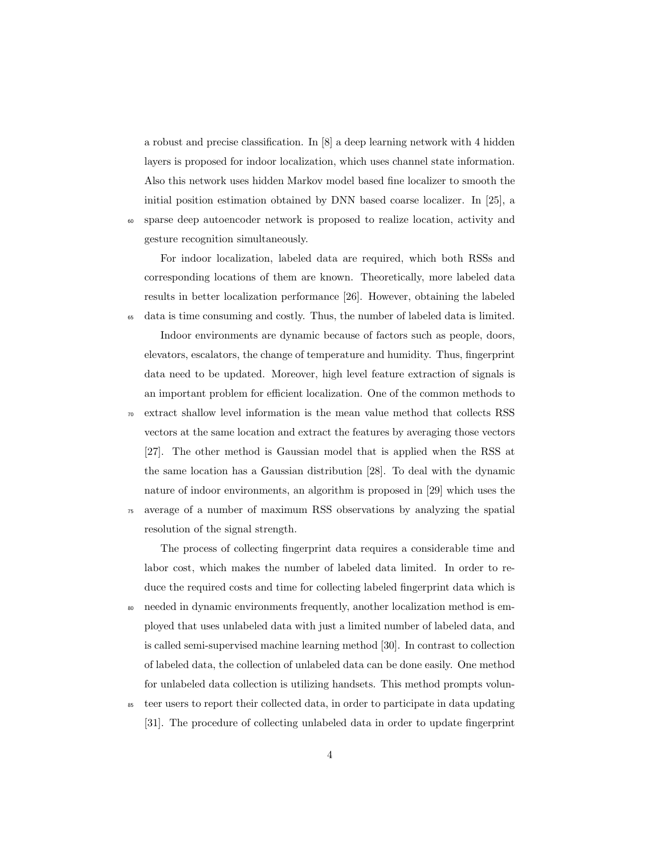a robust and precise classification. In [8] a deep learning network with 4 hidden layers is proposed for indoor localization, which uses channel state information. Also this network uses hidden Markov model based fine localizer to smooth the initial position estimation obtained by DNN based coarse localizer. In [25], a <sup>60</sup> sparse deep autoencoder network is proposed to realize location, activity and gesture recognition simultaneously.

For indoor localization, labeled data are required, which both RSSs and corresponding locations of them are known. Theoretically, more labeled data results in better localization performance [26]. However, obtaining the labeled <sup>65</sup> data is time consuming and costly. Thus, the number of labeled data is limited.

Indoor environments are dynamic because of factors such as people, doors, elevators, escalators, the change of temperature and humidity. Thus, fingerprint data need to be updated. Moreover, high level feature extraction of signals is an important problem for efficient localization. One of the common methods to <sup>70</sup> extract shallow level information is the mean value method that collects RSS vectors at the same location and extract the features by averaging those vectors [27]. The other method is Gaussian model that is applied when the RSS at the same location has a Gaussian distribution [28]. To deal with the dynamic nature of indoor environments, an algorithm is proposed in [29] which uses the <sup>75</sup> average of a number of maximum RSS observations by analyzing the spatial resolution of the signal strength.

The process of collecting fingerprint data requires a considerable time and labor cost, which makes the number of labeled data limited. In order to reduce the required costs and time for collecting labeled fingerprint data which is <sup>80</sup> needed in dynamic environments frequently, another localization method is employed that uses unlabeled data with just a limited number of labeled data, and is called semi-supervised machine learning method [30]. In contrast to collection of labeled data, the collection of unlabeled data can be done easily. One method for unlabeled data collection is utilizing handsets. This method prompts volun-

<sup>85</sup> teer users to report their collected data, in order to participate in data updating [31]. The procedure of collecting unlabeled data in order to update fingerprint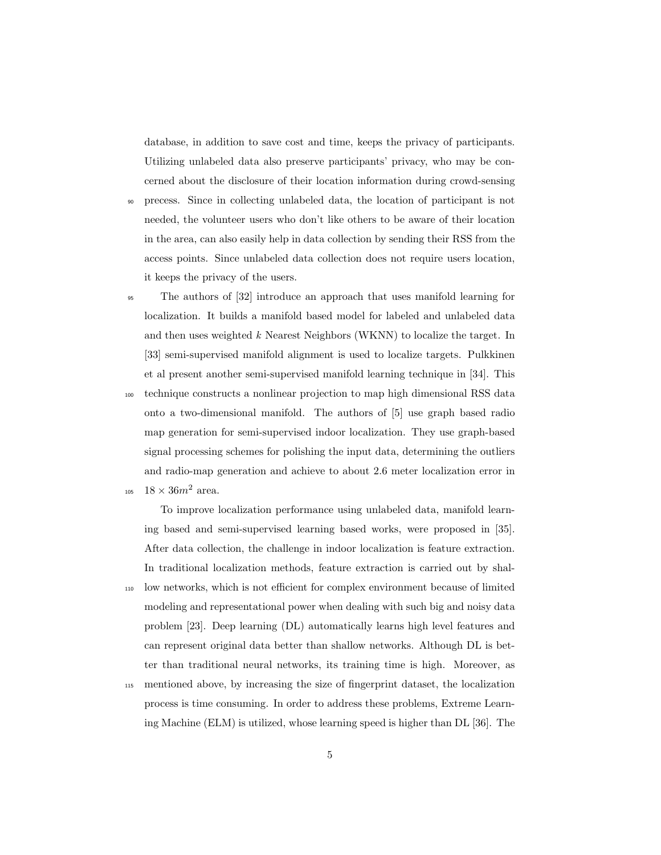database, in addition to save cost and time, keeps the privacy of participants. Utilizing unlabeled data also preserve participants' privacy, who may be concerned about the disclosure of their location information during crowd-sensing

- <sup>90</sup> precess. Since in collecting unlabeled data, the location of participant is not needed, the volunteer users who don't like others to be aware of their location in the area, can also easily help in data collection by sending their RSS from the access points. Since unlabeled data collection does not require users location, it keeps the privacy of the users.
- <sup>95</sup> The authors of [32] introduce an approach that uses manifold learning for localization. It builds a manifold based model for labeled and unlabeled data and then uses weighted  $k$  Nearest Neighbors (WKNN) to localize the target. In [33] semi-supervised manifold alignment is used to localize targets. Pulkkinen et al present another semi-supervised manifold learning technique in [34]. This <sup>100</sup> technique constructs a nonlinear projection to map high dimensional RSS data onto a two-dimensional manifold. The authors of [5] use graph based radio map generation for semi-supervised indoor localization. They use graph-based signal processing schemes for polishing the input data, determining the outliers and radio-map generation and achieve to about 2.6 meter localization error in 105  $18 \times 36m^2$  area.

To improve localization performance using unlabeled data, manifold learning based and semi-supervised learning based works, were proposed in [35]. After data collection, the challenge in indoor localization is feature extraction. In traditional localization methods, feature extraction is carried out by shal-<sup>110</sup> low networks, which is not efficient for complex environment because of limited modeling and representational power when dealing with such big and noisy data problem [23]. Deep learning (DL) automatically learns high level features and can represent original data better than shallow networks. Although DL is better than traditional neural networks, its training time is high. Moreover, as

<sup>115</sup> mentioned above, by increasing the size of fingerprint dataset, the localization process is time consuming. In order to address these problems, Extreme Learning Machine (ELM) is utilized, whose learning speed is higher than DL [36]. The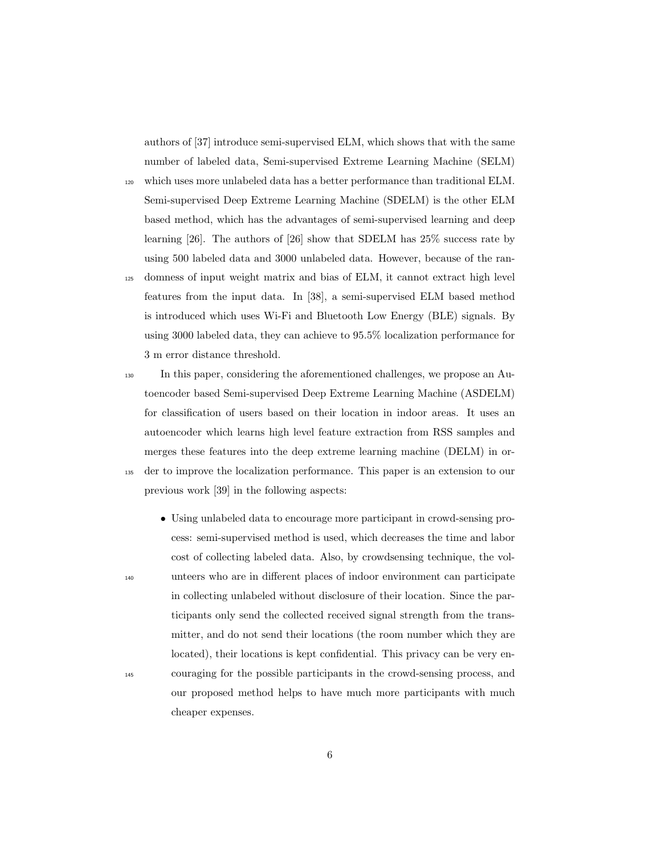authors of [37] introduce semi-supervised ELM, which shows that with the same number of labeled data, Semi-supervised Extreme Learning Machine (SELM)

- <sup>120</sup> which uses more unlabeled data has a better performance than traditional ELM. Semi-supervised Deep Extreme Learning Machine (SDELM) is the other ELM based method, which has the advantages of semi-supervised learning and deep learning [26]. The authors of [26] show that SDELM has 25% success rate by using 500 labeled data and 3000 unlabeled data. However, because of the ran-
- <sup>125</sup> domness of input weight matrix and bias of ELM, it cannot extract high level features from the input data. In [38], a semi-supervised ELM based method is introduced which uses Wi-Fi and Bluetooth Low Energy (BLE) signals. By using 3000 labeled data, they can achieve to 95.5% localization performance for 3 m error distance threshold.
- <sup>130</sup> In this paper, considering the aforementioned challenges, we propose an Autoencoder based Semi-supervised Deep Extreme Learning Machine (ASDELM) for classification of users based on their location in indoor areas. It uses an autoencoder which learns high level feature extraction from RSS samples and merges these features into the deep extreme learning machine (DELM) in or-<sup>135</sup> der to improve the localization performance. This paper is an extension to our previous work [39] in the following aspects:
- Using unlabeled data to encourage more participant in crowd-sensing process: semi-supervised method is used, which decreases the time and labor cost of collecting labeled data. Also, by crowdsensing technique, the vol-<sup>140</sup> unteers who are in different places of indoor environment can participate in collecting unlabeled without disclosure of their location. Since the participants only send the collected received signal strength from the transmitter, and do not send their locations (the room number which they are located), their locations is kept confidential. This privacy can be very en-<sup>145</sup> couraging for the possible participants in the crowd-sensing process, and our proposed method helps to have much more participants with much cheaper expenses.
	- 6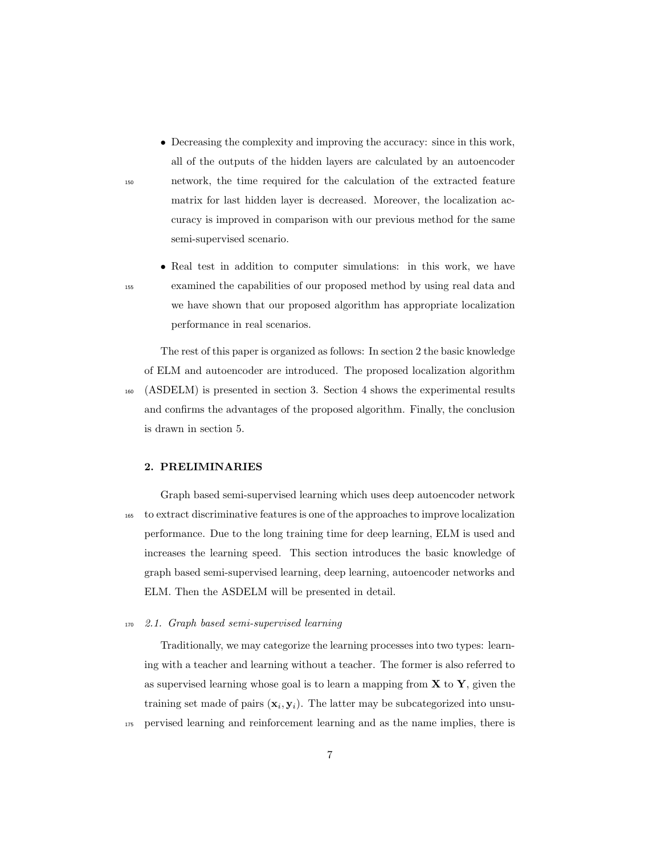- Decreasing the complexity and improving the accuracy: since in this work, all of the outputs of the hidden layers are calculated by an autoencoder <sup>150</sup> network, the time required for the calculation of the extracted feature matrix for last hidden layer is decreased. Moreover, the localization accuracy is improved in comparison with our previous method for the same semi-supervised scenario.
- Real test in addition to computer simulations: in this work, we have <sup>155</sup> examined the capabilities of our proposed method by using real data and we have shown that our proposed algorithm has appropriate localization performance in real scenarios.

The rest of this paper is organized as follows: In section 2 the basic knowledge of ELM and autoencoder are introduced. The proposed localization algorithm <sup>160</sup> (ASDELM) is presented in section 3. Section 4 shows the experimental results and confirms the advantages of the proposed algorithm. Finally, the conclusion is drawn in section 5.

#### 2. PRELIMINARIES

Graph based semi-supervised learning which uses deep autoencoder network <sup>165</sup> to extract discriminative features is one of the approaches to improve localization performance. Due to the long training time for deep learning, ELM is used and increases the learning speed. This section introduces the basic knowledge of graph based semi-supervised learning, deep learning, autoencoder networks and ELM. Then the ASDELM will be presented in detail.

<sup>170</sup> 2.1. Graph based semi-supervised learning

Traditionally, we may categorize the learning processes into two types: learning with a teacher and learning without a teacher. The former is also referred to as supervised learning whose goal is to learn a mapping from  $X$  to  $Y$ , given the training set made of pairs  $(\mathbf{x}_i, \mathbf{y}_i)$ . The latter may be subcategorized into unsu-<sup>175</sup> pervised learning and reinforcement learning and as the name implies, there is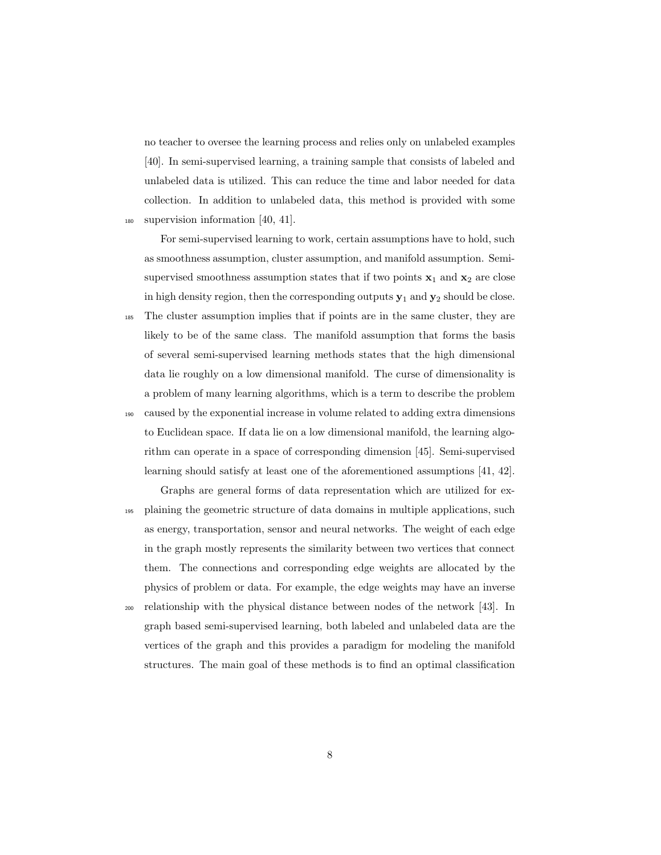no teacher to oversee the learning process and relies only on unlabeled examples [40]. In semi-supervised learning, a training sample that consists of labeled and unlabeled data is utilized. This can reduce the time and labor needed for data collection. In addition to unlabeled data, this method is provided with some <sup>180</sup> supervision information [40, 41].

For semi-supervised learning to work, certain assumptions have to hold, such as smoothness assumption, cluster assumption, and manifold assumption. Semisupervised smoothness assumption states that if two points  $x_1$  and  $x_2$  are close in high density region, then the corresponding outputs  $y_1$  and  $y_2$  should be close. <sup>185</sup> The cluster assumption implies that if points are in the same cluster, they are

- likely to be of the same class. The manifold assumption that forms the basis of several semi-supervised learning methods states that the high dimensional data lie roughly on a low dimensional manifold. The curse of dimensionality is a problem of many learning algorithms, which is a term to describe the problem <sup>190</sup> caused by the exponential increase in volume related to adding extra dimensions to Euclidean space. If data lie on a low dimensional manifold, the learning algorithm can operate in a space of corresponding dimension [45]. Semi-supervised learning should satisfy at least one of the aforementioned assumptions [41, 42].
- Graphs are general forms of data representation which are utilized for ex-<sup>195</sup> plaining the geometric structure of data domains in multiple applications, such as energy, transportation, sensor and neural networks. The weight of each edge in the graph mostly represents the similarity between two vertices that connect them. The connections and corresponding edge weights are allocated by the physics of problem or data. For example, the edge weights may have an inverse <sup>200</sup> relationship with the physical distance between nodes of the network [43]. In
- graph based semi-supervised learning, both labeled and unlabeled data are the vertices of the graph and this provides a paradigm for modeling the manifold structures. The main goal of these methods is to find an optimal classification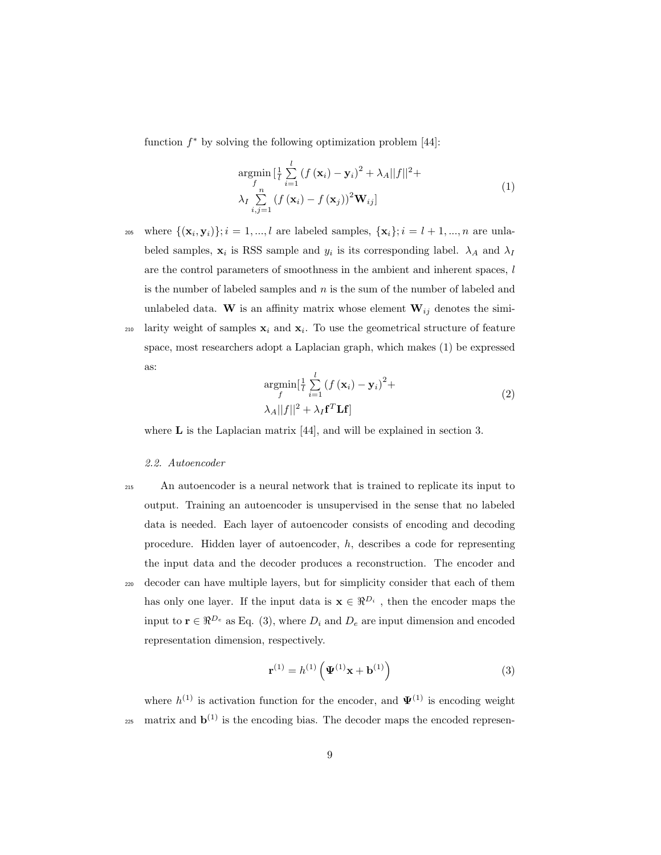function  $f^*$  by solving the following optimization problem [44]:

$$
\underset{\lambda_I}{\operatorname{argmin}} \left[ \frac{1}{l} \sum_{i=1}^{l} \left( f(\mathbf{x}_i) - \mathbf{y}_i \right)^2 + \lambda_A ||f||^2 + \right. \\
\left. \lambda_I \sum_{i,j=1}^{n} \left( f(\mathbf{x}_i) - f(\mathbf{x}_j) \right)^2 \mathbf{W}_{ij} \right]
$$
\n(1)

205 where  $\{(\mathbf{x}_i, \mathbf{y}_i)\}; i = 1, ..., l$  are labeled samples,  $\{\mathbf{x}_i\}; i = l + 1, ..., n$  are unlabeled samples,  $\mathbf{x}_i$  is RSS sample and  $y_i$  is its corresponding label.  $\lambda_A$  and  $\lambda_I$ are the control parameters of smoothness in the ambient and inherent spaces, l is the number of labeled samples and  $n$  is the sum of the number of labeled and unlabeled data. W is an affinity matrix whose element  $W_{ij}$  denotes the simi-<sup>210</sup> larity weight of samples  $x_i$  and  $x_i$ . To use the geometrical structure of feature space, most researchers adopt a Laplacian graph, which makes (1) be expressed as:

$$
\underset{f}{\operatorname{argmin}}[\frac{1}{l}\sum_{i=1}^{l} (f(\mathbf{x}_i) - \mathbf{y}_i)^2 + \lambda_A ||f||^2 + \lambda_I \mathbf{f}^T \mathbf{L} \mathbf{f}]
$$
\n(2)

where **L** is the Laplacian matrix [44], and will be explained in section 3.

## 2.2. Autoencoder

<sup>215</sup> An autoencoder is a neural network that is trained to replicate its input to output. Training an autoencoder is unsupervised in the sense that no labeled data is needed. Each layer of autoencoder consists of encoding and decoding procedure. Hidden layer of autoencoder, h, describes a code for representing the input data and the decoder produces a reconstruction. The encoder and <sup>220</sup> decoder can have multiple layers, but for simplicity consider that each of them has only one layer. If the input data is  $\mathbf{x} \in \mathbb{R}^{D_i}$ , then the encoder maps the input to  $\mathbf{r} \in \Re^{D_e}$  as Eq. (3), where  $D_i$  and  $D_e$  are input dimension and encoded representation dimension, respectively.

$$
\mathbf{r}^{(1)} = h^{(1)} \left( \mathbf{\Psi}^{(1)} \mathbf{x} + \mathbf{b}^{(1)} \right)
$$
 (3)

where  $h^{(1)}$  is activation function for the encoder, and  $\Psi^{(1)}$  is encoding weight 225 matrix and  $\mathbf{b}^{(1)}$  is the encoding bias. The decoder maps the encoded represen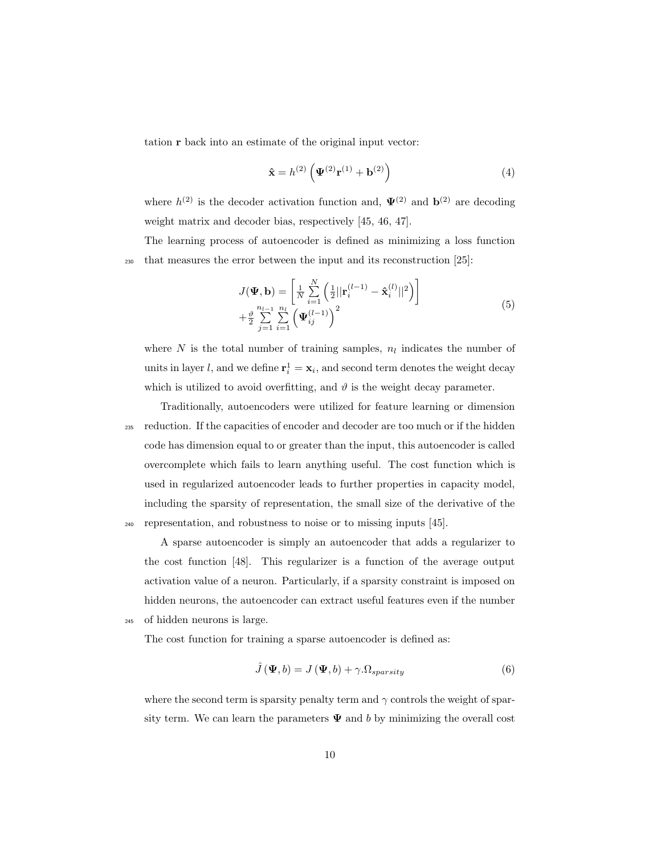tation r back into an estimate of the original input vector:

$$
\hat{\mathbf{x}} = h^{(2)} \left( \mathbf{\Psi}^{(2)} \mathbf{r}^{(1)} + \mathbf{b}^{(2)} \right) \tag{4}
$$

where  $h^{(2)}$  is the decoder activation function and,  $\Psi^{(2)}$  and  $\mathbf{b}^{(2)}$  are decoding weight matrix and decoder bias, respectively [45, 46, 47].

The learning process of autoencoder is defined as minimizing a loss function <sup>230</sup> that measures the error between the input and its reconstruction [25]:

$$
J(\Psi, \mathbf{b}) = \left[ \frac{1}{N} \sum_{i=1}^{N} \left( \frac{1}{2} ||\mathbf{r}_{i}^{(l-1)} - \hat{\mathbf{x}}_{i}^{(l)}||^{2} \right) \right] + \frac{\vartheta}{2} \sum_{j=1}^{n_{l-1}} \sum_{i=1}^{n_{l}} \left( \Psi_{ij}^{(l-1)} \right)^{2}
$$
(5)

where N is the total number of training samples,  $n_l$  indicates the number of units in layer l, and we define  $\mathbf{r}_i^1 = \mathbf{x}_i$ , and second term denotes the weight decay which is utilized to avoid overfitting, and  $\vartheta$  is the weight decay parameter.

Traditionally, autoencoders were utilized for feature learning or dimension <sup>235</sup> reduction. If the capacities of encoder and decoder are too much or if the hidden code has dimension equal to or greater than the input, this autoencoder is called overcomplete which fails to learn anything useful. The cost function which is used in regularized autoencoder leads to further properties in capacity model, including the sparsity of representation, the small size of the derivative of the <sup>240</sup> representation, and robustness to noise or to missing inputs [45].

A sparse autoencoder is simply an autoencoder that adds a regularizer to the cost function [48]. This regularizer is a function of the average output activation value of a neuron. Particularly, if a sparsity constraint is imposed on hidden neurons, the autoencoder can extract useful features even if the number <sup>245</sup> of hidden neurons is large.

The cost function for training a sparse autoencoder is defined as:

$$
\hat{J}(\mathbf{\Psi},b) = J(\mathbf{\Psi},b) + \gamma \cdot \Omega_{sparsity}
$$
\n(6)

where the second term is sparsity penalty term and  $\gamma$  controls the weight of sparsity term. We can learn the parameters  $\Psi$  and b by minimizing the overall cost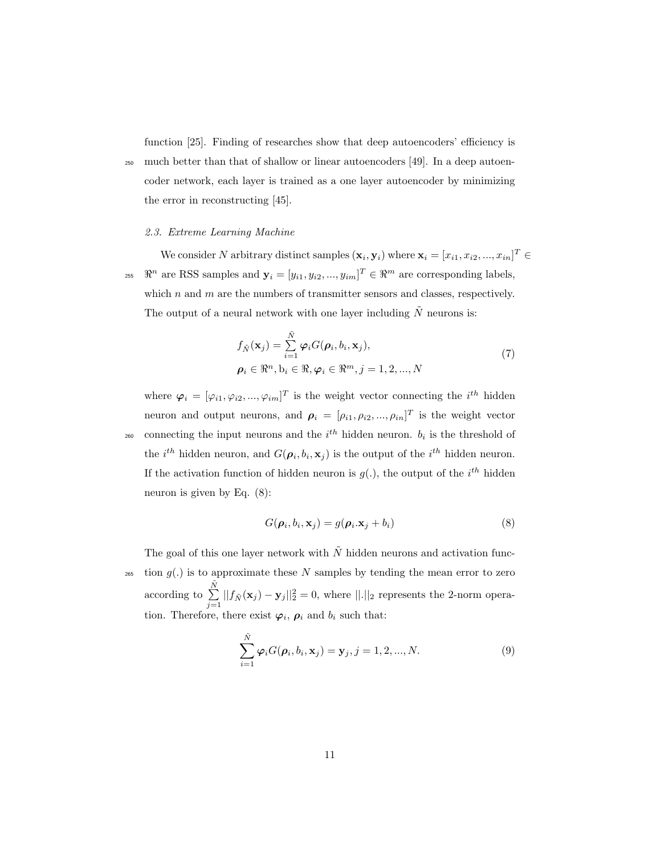function [25]. Finding of researches show that deep autoencoders' efficiency is <sup>250</sup> much better than that of shallow or linear autoencoders [49]. In a deep autoencoder network, each layer is trained as a one layer autoencoder by minimizing the error in reconstructing [45].

## 2.3. Extreme Learning Machine

We consider N arbitrary distinct samples  $(\mathbf{x}_i, \mathbf{y}_i)$  where  $\mathbf{x}_i = [x_{i1}, x_{i2}, ..., x_{in}]^T \in$ <sup>255</sup>  $\mathbb{R}^n$  are RSS samples and  $\mathbf{y}_i = [y_{i1}, y_{i2}, ..., y_{im}]^T \in \mathbb{R}^m$  are corresponding labels, which  $n$  and  $m$  are the numbers of transmitter sensors and classes, respectively. The output of a neural network with one layer including  $\tilde{N}$  neurons is:

$$
f_{\tilde{N}}(\mathbf{x}_j) = \sum_{i=1}^{\tilde{N}} \varphi_i G(\boldsymbol{\rho}_i, b_i, \mathbf{x}_j),
$$
  
\n
$$
\boldsymbol{\rho}_i \in \mathbb{R}^n, b_i \in \mathbb{R}, \varphi_i \in \mathbb{R}^m, j = 1, 2, ..., N
$$
\n(7)

where  $\varphi_i = [\varphi_{i1}, \varphi_{i2}, ..., \varphi_{im}]^T$  is the weight vector connecting the  $i^{th}$  hidden neuron and output neurons, and  $\rho_i = [\rho_{i1}, \rho_{i2}, ..., \rho_{in}]^T$  is the weight vector <sup>260</sup> connecting the input neurons and the  $i^{th}$  hidden neuron.  $b_i$  is the threshold of the *i*<sup>th</sup> hidden neuron, and  $G(\boldsymbol{\rho}_i, b_i, \mathbf{x}_j)$  is the output of the *i*<sup>th</sup> hidden neuron. If the activation function of hidden neuron is  $g(.)$ , the output of the  $i^{th}$  hidden neuron is given by Eq. (8):

$$
G(\boldsymbol{\rho}_i, b_i, \mathbf{x}_j) = g(\boldsymbol{\rho}_i. \mathbf{x}_j + b_i)
$$
\n(8)

The goal of this one layer network with  $\tilde{N}$  hidden neurons and activation func- $_{265}$  tion  $q(.)$  is to approximate these N samples by tending the mean error to zero according to  $\Sigma$  $\tilde{N}$  $\sum_{j=1}||f_{\tilde{N}}(\mathbf{x}_j)-\mathbf{y}_j||_2^2=0$ , where  $||.||_2$  represents the 2-norm operation. Therefore, there exist  $\varphi_i$ ,  $\rho_i$  and  $b_i$  such that:

$$
\sum_{i=1}^{\tilde{N}} \varphi_i G(\rho_i, b_i, \mathbf{x}_j) = \mathbf{y}_j, j = 1, 2, ..., N.
$$
 (9)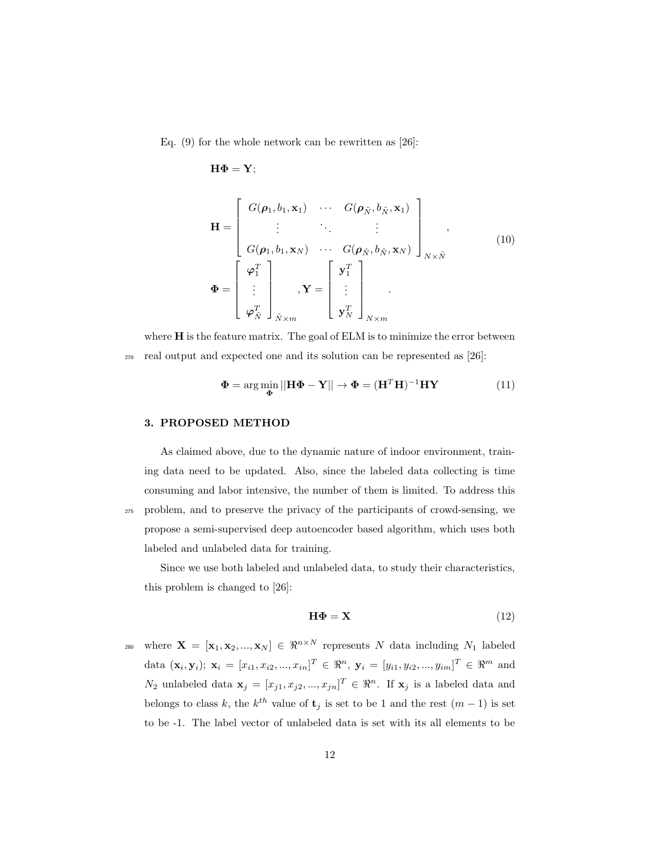Eq.  $(9)$  for the whole network can be rewritten as [26]:

$$
\mathbf{H}\Phi=\mathbf{Y};
$$

$$
\mathbf{H} = \begin{bmatrix} G(\boldsymbol{\rho}_1, b_1, \mathbf{x}_1) & \cdots & G(\boldsymbol{\rho}_{\tilde{N}}, b_{\tilde{N}}, \mathbf{x}_1) \\ \vdots & \ddots & \vdots \\ G(\boldsymbol{\rho}_1, b_1, \mathbf{x}_N) & \cdots & G(\boldsymbol{\rho}_{\tilde{N}}, b_{\tilde{N}}, \mathbf{x}_N) \end{bmatrix}_{N \times \tilde{N}},
$$
\n
$$
\boldsymbol{\Phi} = \begin{bmatrix} \boldsymbol{\varphi}_1^T \\ \vdots \\ \boldsymbol{\varphi}_N^T \end{bmatrix}_{\tilde{N} \times m}, \mathbf{Y} = \begin{bmatrix} \mathbf{y}_1^T \\ \vdots \\ \mathbf{y}_N^T \end{bmatrix}_{N \times m},
$$
\n(10)

where **H** is the feature matrix. The goal of ELM is to minimize the error between <sup>270</sup> real output and expected one and its solution can be represented as [26]:

$$
\mathbf{\Phi} = \arg\min_{\mathbf{\Phi}} ||\mathbf{H}\mathbf{\Phi} - \mathbf{Y}|| \rightarrow \mathbf{\Phi} = (\mathbf{H}^T \mathbf{H})^{-1} \mathbf{H}\mathbf{Y}
$$
(11)

## 3. PROPOSED METHOD

As claimed above, due to the dynamic nature of indoor environment, training data need to be updated. Also, since the labeled data collecting is time consuming and labor intensive, the number of them is limited. To address this <sup>275</sup> problem, and to preserve the privacy of the participants of crowd-sensing, we propose a semi-supervised deep autoencoder based algorithm, which uses both labeled and unlabeled data for training.

Since we use both labeled and unlabeled data, to study their characteristics, this problem is changed to [26]:

$$
\mathbf{H}\mathbf{\Phi} = \mathbf{X} \tag{12}
$$

where  $\mathbf{X} = [\mathbf{x}_1, \mathbf{x}_2, ..., \mathbf{x}_N] \in \Re^{n \times N}$  represents N data including  $N_1$  labeled data  $(\mathbf{x}_i, \mathbf{y}_i); \ \mathbf{x}_i = [x_{i1}, x_{i2}, ..., x_{in}]^T \in \Re^n, \ \mathbf{y}_i = [y_{i1}, y_{i2}, ..., y_{im}]^T \in \Re^m$  and  $N_2$  unlabeled data  $\mathbf{x}_j = [x_{j1}, x_{j2}, ..., x_{jn}]^T \in \Re^n$ . If  $\mathbf{x}_j$  is a labeled data and belongs to class k, the  $k^{th}$  value of  $\mathbf{t}_j$  is set to be 1 and the rest  $(m-1)$  is set to be -1. The label vector of unlabeled data is set with its all elements to be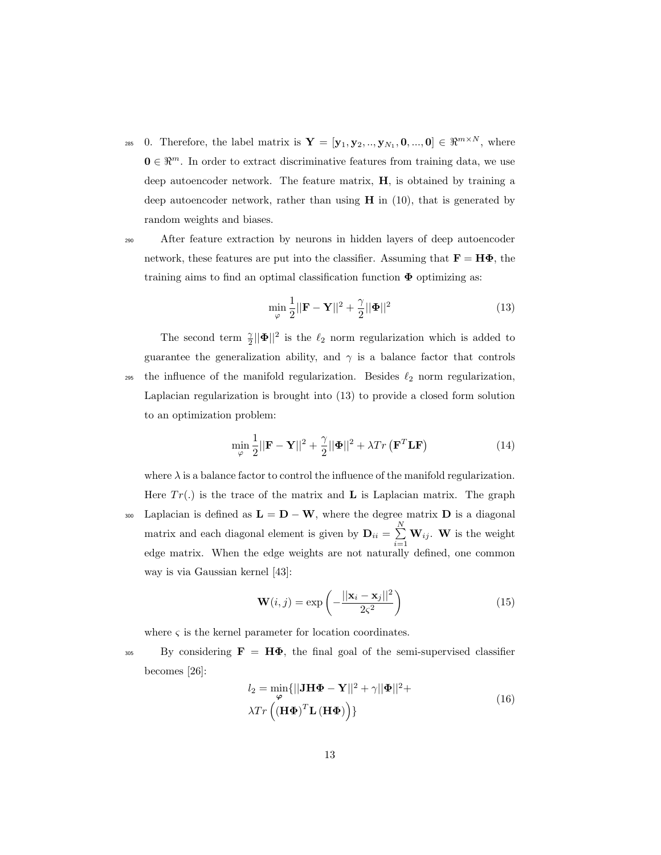<sup>285</sup> 0. Therefore, the label matrix is  $\mathbf{Y} = [\mathbf{y}_1, \mathbf{y}_2, ..., \mathbf{y}_{N_1}, \mathbf{0}, ..., \mathbf{0}] \in \mathbb{R}^{m \times N}$ , where  $\mathbf{0} \in \mathbb{R}^m$ . In order to extract discriminative features from training data, we use deep autoencoder network. The feature matrix, H, is obtained by training a deep autoencoder network, rather than using  $H$  in (10), that is generated by random weights and biases.

<sup>290</sup> After feature extraction by neurons in hidden layers of deep autoencoder network, these features are put into the classifier. Assuming that  $\mathbf{F} = \mathbf{H}\mathbf{\Phi}$ , the training aims to find an optimal classification function  $\Phi$  optimizing as:

$$
\min_{\varphi} \frac{1}{2} ||\mathbf{F} - \mathbf{Y}||^2 + \frac{\gamma}{2} ||\mathbf{\Phi}||^2 \tag{13}
$$

The second term  $\frac{\gamma}{2} ||\mathbf{\Phi}||^2$  is the  $\ell_2$  norm regularization which is added to guarantee the generalization ability, and  $\gamma$  is a balance factor that controls 295 the influence of the manifold regularization. Besides  $\ell_2$  norm regularization, Laplacian regularization is brought into (13) to provide a closed form solution to an optimization problem:

$$
\min_{\varphi} \frac{1}{2} ||\mathbf{F} - \mathbf{Y}||^2 + \frac{\gamma}{2} ||\mathbf{\Phi}||^2 + \lambda Tr\left(\mathbf{F}^T \mathbf{L} \mathbf{F}\right)
$$
\n(14)

where  $\lambda$  is a balance factor to control the influence of the manifold regularization. Here  $Tr(.)$  is the trace of the matrix and **L** is Laplacian matrix. The graph 300 Laplacian is defined as  $\mathbf{L} = \mathbf{D} - \mathbf{W}$ , where the degree matrix  $\mathbf{D}$  is a diagonal matrix and each diagonal element is given by  $\mathbf{D}_{ii} = \sum^{N}$  $\sum_{i=1}^N \mathbf{W}_{ij}$ . **W** is the weight edge matrix. When the edge weights are not naturally defined, one common way is via Gaussian kernel [43]:

$$
\mathbf{W}(i,j) = \exp\left(-\frac{||\mathbf{x}_i - \mathbf{x}_j||^2}{2\varsigma^2}\right)
$$
(15)

where  $\varsigma$  is the kernel parameter for location coordinates.

 $305$  By considering  $\mathbf{F} = \mathbf{H}\mathbf{\Phi}$ , the final goal of the semi-supervised classifier becomes [26]:

$$
l_2 = \min_{\varphi} \{ ||\mathbf{J} \mathbf{H} \mathbf{\Phi} - \mathbf{Y}||^2 + \gamma ||\mathbf{\Phi}||^2 +
$$
  

$$
\lambda Tr \left( (\mathbf{H} \mathbf{\Phi})^T \mathbf{L} (\mathbf{H} \mathbf{\Phi}) \right) \}
$$
 (16)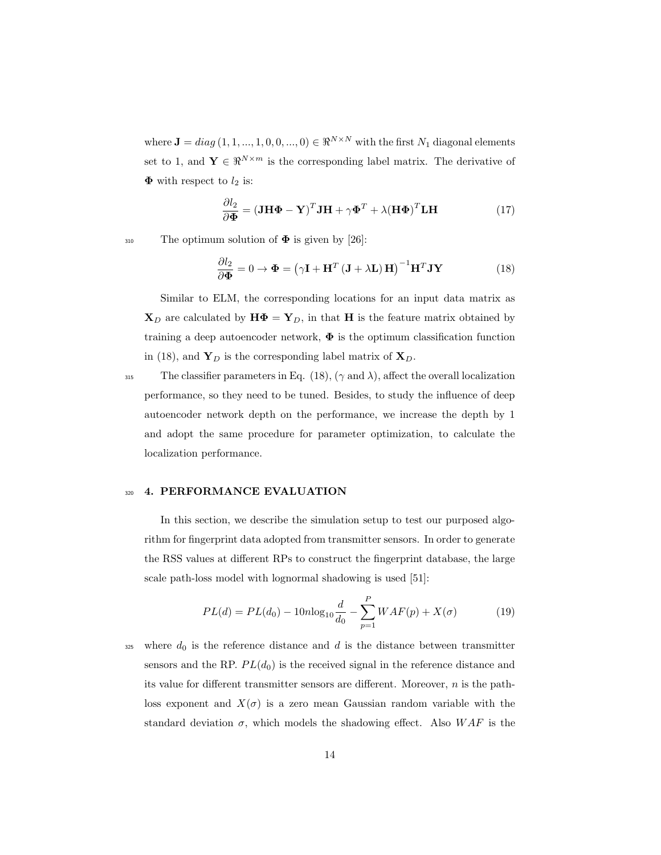where  $\mathbf{J} = diag(1, 1, ..., 1, 0, 0, ..., 0) \in \Re^{N \times N}$  with the first  $N_1$  diagonal elements set to 1, and  $\mathbf{Y} \in \mathbb{R}^{N \times m}$  is the corresponding label matrix. The derivative of  $\Phi$  with respect to  $l_2$  is:

$$
\frac{\partial l_2}{\partial \mathbf{\Phi}} = (\mathbf{J} \mathbf{H} \mathbf{\Phi} - \mathbf{Y})^T \mathbf{J} \mathbf{H} + \gamma \mathbf{\Phi}^T + \lambda (\mathbf{H} \mathbf{\Phi})^T \mathbf{L} \mathbf{H}
$$
(17)

 $_{310}$  The optimum solution of  $\Phi$  is given by [26]:

$$
\frac{\partial l_2}{\partial \mathbf{\Phi}} = 0 \to \mathbf{\Phi} = (\gamma \mathbf{I} + \mathbf{H}^T (\mathbf{J} + \lambda \mathbf{L}) \mathbf{H})^{-1} \mathbf{H}^T \mathbf{J} \mathbf{Y}
$$
(18)

Similar to ELM, the corresponding locations for an input data matrix as  $\mathbf{X}_D$  are calculated by  $\mathbf{H}\mathbf{\Phi} = \mathbf{Y}_D$ , in that H is the feature matrix obtained by training a deep autoencoder network,  $\Phi$  is the optimum classification function in (18), and  $Y_D$  is the corresponding label matrix of  $X_D$ .

315 The classifier parameters in Eq. (18),  $(\gamma \text{ and } \lambda)$ , affect the overall localization performance, so they need to be tuned. Besides, to study the influence of deep autoencoder network depth on the performance, we increase the depth by 1 and adopt the same procedure for parameter optimization, to calculate the localization performance.

#### 320 4. PERFORMANCE EVALUATION

In this section, we describe the simulation setup to test our purposed algorithm for fingerprint data adopted from transmitter sensors. In order to generate the RSS values at different RPs to construct the fingerprint database, the large scale path-loss model with lognormal shadowing is used [51]:

$$
PL(d) = PL(d_0) - 10n \log_{10} \frac{d}{d_0} - \sum_{p=1}^{P} WAF(p) + X(\sigma)
$$
 (19)

325 where  $d_0$  is the reference distance and d is the distance between transmitter sensors and the RP.  $PL(d_0)$  is the received signal in the reference distance and its value for different transmitter sensors are different. Moreover, n is the pathloss exponent and  $X(\sigma)$  is a zero mean Gaussian random variable with the standard deviation  $\sigma$ , which models the shadowing effect. Also  $WAF$  is the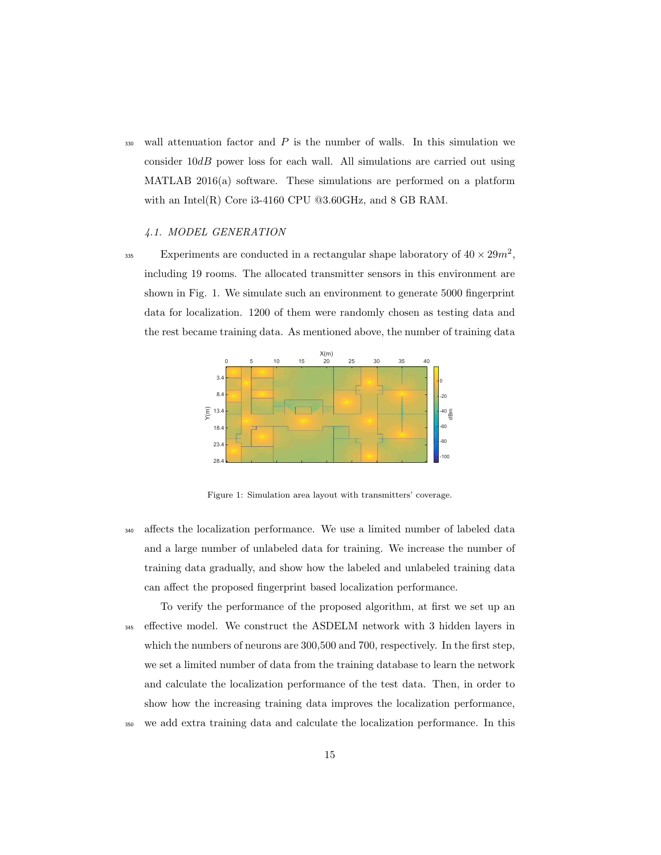$330$  wall attenuation factor and  $P$  is the number of walls. In this simulation we consider  $10dB$  power loss for each wall. All simulations are carried out using MATLAB 2016(a) software. These simulations are performed on a platform with an Intel $(R)$  Core i3-4160 CPU @3.60GHz, and 8 GB RAM.

#### 4.1. MODEL GENERATION

Experiments are conducted in a rectangular shape laboratory of  $40 \times 29m^2$ , including 19 rooms. The allocated transmitter sensors in this environment are shown in Fig. 1. We simulate such an environment to generate 5000 fingerprint data for localization. 1200 of them were randomly chosen as testing data and the rest became training data. As mentioned above, the number of training data



Figure 1: Simulation area layout with transmitters' coverage.

<sup>340</sup> affects the localization performance. We use a limited number of labeled data and a large number of unlabeled data for training. We increase the number of training data gradually, and show how the labeled and unlabeled training data can affect the proposed fingerprint based localization performance.

To verify the performance of the proposed algorithm, at first we set up an <sup>345</sup> effective model. We construct the ASDELM network with 3 hidden layers in which the numbers of neurons are 300,500 and 700, respectively. In the first step, we set a limited number of data from the training database to learn the network and calculate the localization performance of the test data. Then, in order to show how the increasing training data improves the localization performance, <sup>350</sup> we add extra training data and calculate the localization performance. In this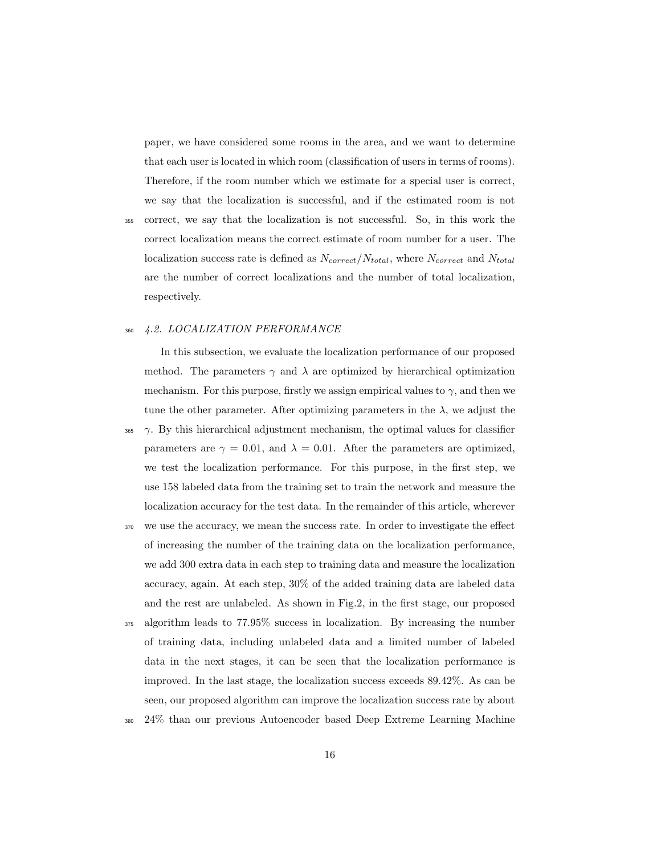paper, we have considered some rooms in the area, and we want to determine that each user is located in which room (classification of users in terms of rooms). Therefore, if the room number which we estimate for a special user is correct, we say that the localization is successful, and if the estimated room is not

<sup>355</sup> correct, we say that the localization is not successful. So, in this work the correct localization means the correct estimate of room number for a user. The localization success rate is defined as  $N_{correct}/N_{total}$ , where  $N_{correct}$  and  $N_{total}$ are the number of correct localizations and the number of total localization, respectively.

#### <sup>360</sup> 4.2. LOCALIZATION PERFORMANCE

In this subsection, we evaluate the localization performance of our proposed method. The parameters  $\gamma$  and  $\lambda$  are optimized by hierarchical optimization mechanism. For this purpose, firstly we assign empirical values to  $\gamma$ , and then we tune the other parameter. After optimizing parameters in the  $\lambda$ , we adjust the

- $\gamma$ . By this hierarchical adjustment mechanism, the optimal values for classifier parameters are  $\gamma = 0.01$ , and  $\lambda = 0.01$ . After the parameters are optimized, we test the localization performance. For this purpose, in the first step, we use 158 labeled data from the training set to train the network and measure the localization accuracy for the test data. In the remainder of this article, wherever
- <sup>370</sup> we use the accuracy, we mean the success rate. In order to investigate the effect of increasing the number of the training data on the localization performance, we add 300 extra data in each step to training data and measure the localization accuracy, again. At each step, 30% of the added training data are labeled data and the rest are unlabeled. As shown in Fig.2, in the first stage, our proposed
- <sup>375</sup> algorithm leads to 77.95% success in localization. By increasing the number of training data, including unlabeled data and a limited number of labeled data in the next stages, it can be seen that the localization performance is improved. In the last stage, the localization success exceeds 89.42%. As can be seen, our proposed algorithm can improve the localization success rate by about
- <sup>380</sup> 24% than our previous Autoencoder based Deep Extreme Learning Machine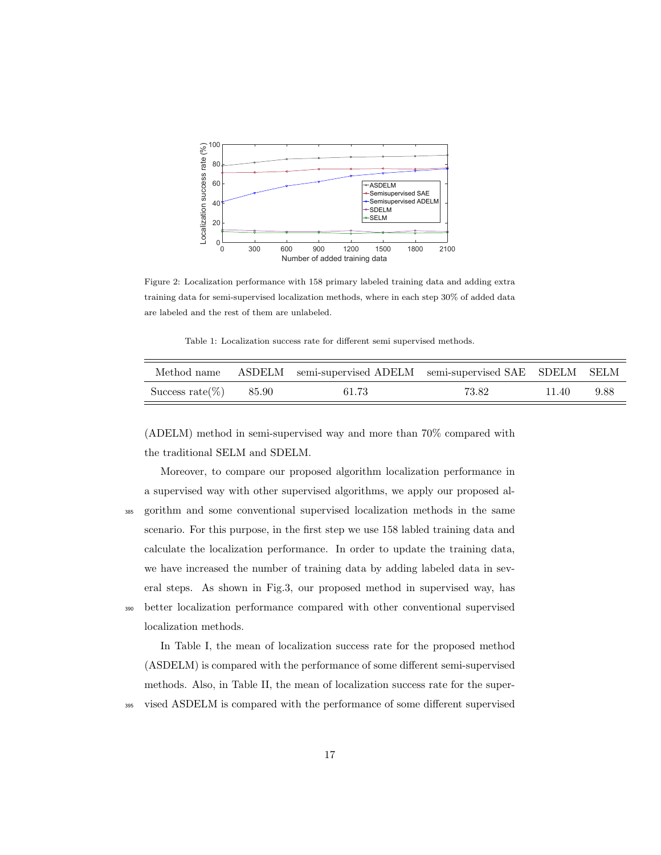

Figure 2: Localization performance with 158 primary labeled training data and adding extra training data for semi-supervised localization methods, where in each step 30% of added data are labeled and the rest of them are unlabeled.

Table 1: Localization success rate for different semi supervised methods.

|                         | Method name ASDELM semi-supervised ADELM semi-supervised SAE SDELM SELM |       |       |      |
|-------------------------|-------------------------------------------------------------------------|-------|-------|------|
| Success rate(%) $85.90$ | 61.73                                                                   | 73.82 | 11.40 | 9.88 |

(ADELM) method in semi-supervised way and more than 70% compared with the traditional SELM and SDELM.

Moreover, to compare our proposed algorithm localization performance in a supervised way with other supervised algorithms, we apply our proposed al-<sup>385</sup> gorithm and some conventional supervised localization methods in the same scenario. For this purpose, in the first step we use 158 labled training data and calculate the localization performance. In order to update the training data, we have increased the number of training data by adding labeled data in several steps. As shown in Fig.3, our proposed method in supervised way, has <sup>390</sup> better localization performance compared with other conventional supervised

localization methods.

In Table I, the mean of localization success rate for the proposed method (ASDELM) is compared with the performance of some different semi-supervised methods. Also, in Table II, the mean of localization success rate for the super-<sup>395</sup> vised ASDELM is compared with the performance of some different supervised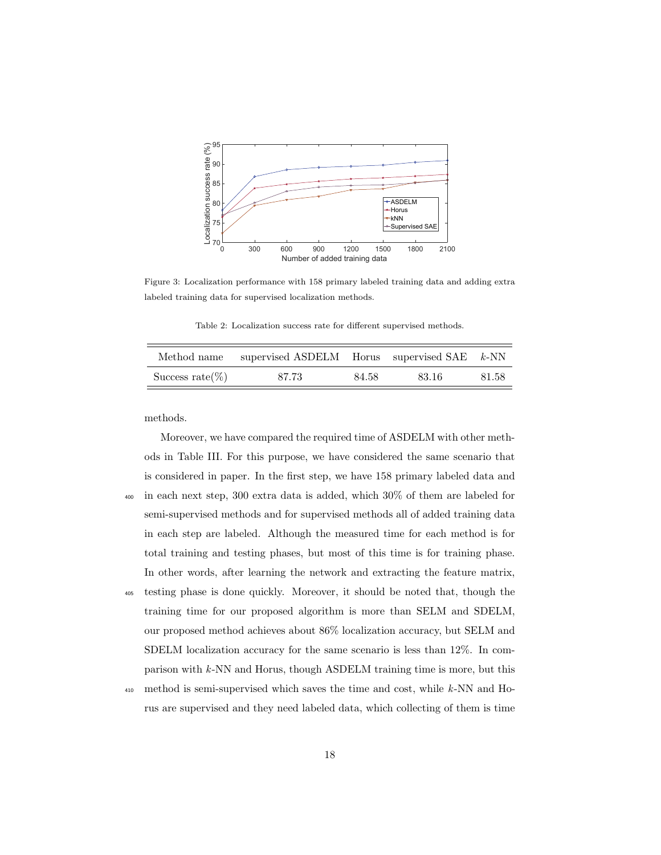

Figure 3: Localization performance with 158 primary labeled training data and adding extra labeled training data for supervised localization methods.

Table 2: Localization success rate for different supervised methods.

| Method name         | supervised ASDELM Horus supervised SAE $k$ -NN |       |       |       |
|---------------------|------------------------------------------------|-------|-------|-------|
| Success rate $(\%)$ | 87.73                                          | 84.58 | 83.16 | 81.58 |

methods.

Moreover, we have compared the required time of ASDELM with other methods in Table III. For this purpose, we have considered the same scenario that is considered in paper. In the first step, we have 158 primary labeled data and <sup>400</sup> in each next step, 300 extra data is added, which 30% of them are labeled for semi-supervised methods and for supervised methods all of added training data in each step are labeled. Although the measured time for each method is for total training and testing phases, but most of this time is for training phase. In other words, after learning the network and extracting the feature matrix, <sup>405</sup> testing phase is done quickly. Moreover, it should be noted that, though the

- training time for our proposed algorithm is more than SELM and SDELM, our proposed method achieves about 86% localization accuracy, but SELM and SDELM localization accuracy for the same scenario is less than 12%. In comparison with k-NN and Horus, though ASDELM training time is more, but this
- <sup>410</sup> method is semi-supervised which saves the time and cost, while k-NN and Horus are supervised and they need labeled data, which collecting of them is time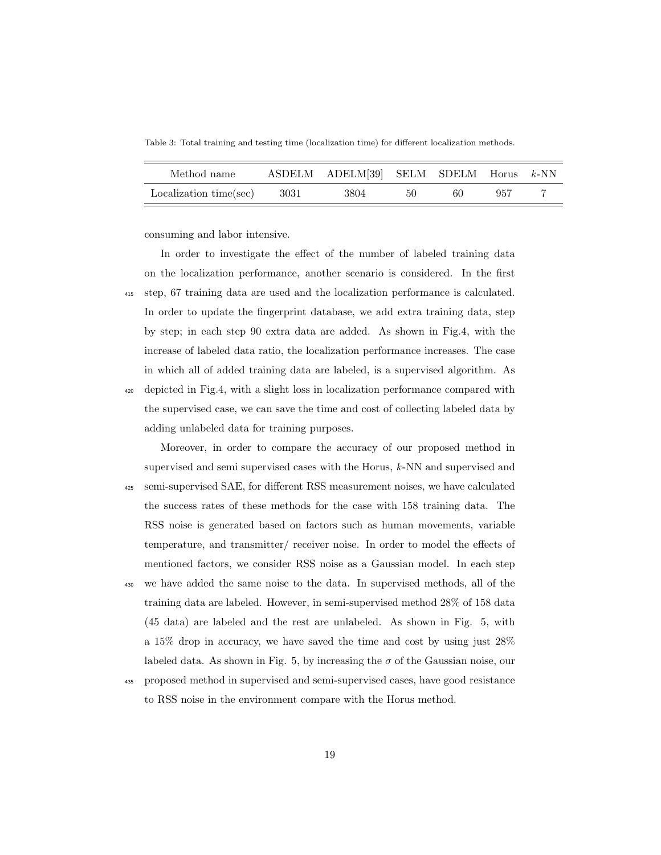Table 3: Total training and testing time (localization time) for different localization methods.

| Method name                   | ASDELM ADELM[39] SELM SDELM Horus k-NN |    |    |     |  |
|-------------------------------|----------------------------------------|----|----|-----|--|
| $Localization time(sec)$ 3031 | 3804                                   | 50 | 60 | 957 |  |

consuming and labor intensive.

In order to investigate the effect of the number of labeled training data on the localization performance, another scenario is considered. In the first <sup>415</sup> step, 67 training data are used and the localization performance is calculated. In order to update the fingerprint database, we add extra training data, step by step; in each step 90 extra data are added. As shown in Fig.4, with the increase of labeled data ratio, the localization performance increases. The case in which all of added training data are labeled, is a supervised algorithm. As <sup>420</sup> depicted in Fig.4, with a slight loss in localization performance compared with the supervised case, we can save the time and cost of collecting labeled data by adding unlabeled data for training purposes.

Moreover, in order to compare the accuracy of our proposed method in supervised and semi supervised cases with the Horus, k-NN and supervised and <sup>425</sup> semi-supervised SAE, for different RSS measurement noises, we have calculated the success rates of these methods for the case with 158 training data. The RSS noise is generated based on factors such as human movements, variable temperature, and transmitter/ receiver noise. In order to model the effects of mentioned factors, we consider RSS noise as a Gaussian model. In each step <sup>430</sup> we have added the same noise to the data. In supervised methods, all of the training data are labeled. However, in semi-supervised method 28% of 158 data (45 data) are labeled and the rest are unlabeled. As shown in Fig. 5, with a 15% drop in accuracy, we have saved the time and cost by using just 28% labeled data. As shown in Fig. 5, by increasing the  $\sigma$  of the Gaussian noise, our

<sup>435</sup> proposed method in supervised and semi-supervised cases, have good resistance to RSS noise in the environment compare with the Horus method.

19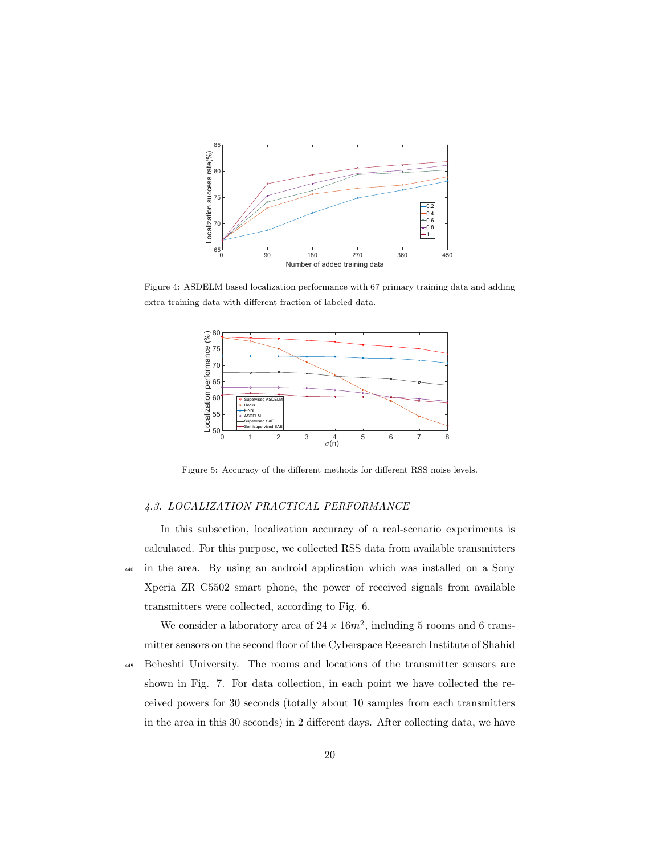

Figure 4: ASDELM based localization performance with 67 primary training data and adding extra training data with different fraction of labeled data.



Figure 5: Accuracy of the different methods for different RSS noise levels.

## 4.3. LOCALIZATION PRACTICAL PERFORMANCE

In this subsection, localization accuracy of a real-scenario experiments is calculated. For this purpose, we collected RSS data from available transmitters <sup>440</sup> in the area. By using an android application which was installed on a Sony Xperia ZR C5502 smart phone, the power of received signals from available transmitters were collected, according to Fig. 6.

We consider a laboratory area of  $24 \times 16m^2$ , including 5 rooms and 6 transmitter sensors on the second floor of the Cyberspace Research Institute of Shahid

<sup>445</sup> Beheshti University. The rooms and locations of the transmitter sensors are shown in Fig. 7. For data collection, in each point we have collected the received powers for 30 seconds (totally about 10 samples from each transmitters in the area in this 30 seconds) in 2 different days. After collecting data, we have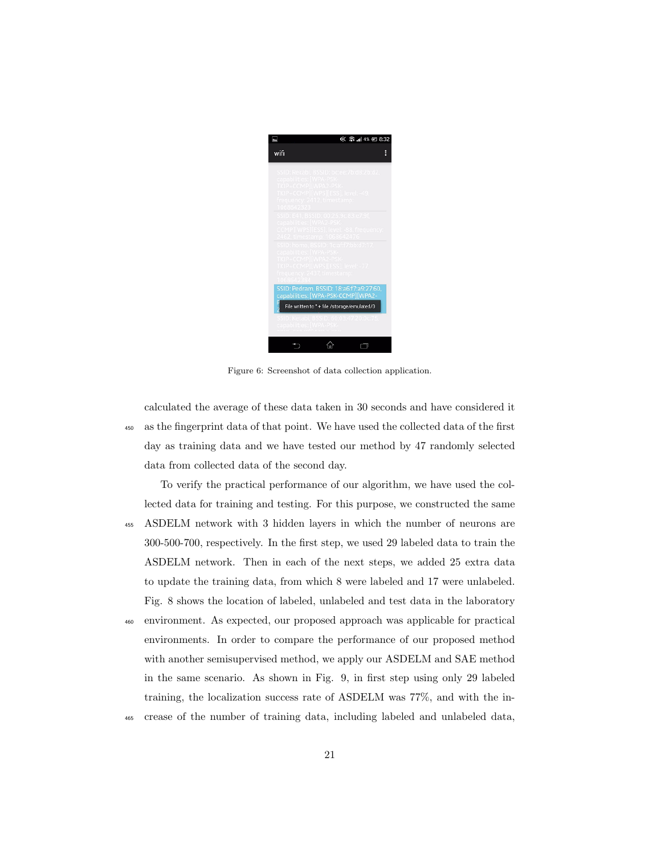

Figure 6: Screenshot of data collection application.

calculated the average of these data taken in 30 seconds and have considered it <sup>450</sup> as the fingerprint data of that point. We have used the collected data of the first day as training data and we have tested our method by 47 randomly selected data from collected data of the second day.

- To verify the practical performance of our algorithm, we have used the collected data for training and testing. For this purpose, we constructed the same <sup>455</sup> ASDELM network with 3 hidden layers in which the number of neurons are 300-500-700, respectively. In the first step, we used 29 labeled data to train the ASDELM network. Then in each of the next steps, we added 25 extra data to update the training data, from which 8 were labeled and 17 were unlabeled. Fig. 8 shows the location of labeled, unlabeled and test data in the laboratory <sup>460</sup> environment. As expected, our proposed approach was applicable for practical environments. In order to compare the performance of our proposed method with another semisupervised method, we apply our ASDELM and SAE method in the same scenario. As shown in Fig. 9, in first step using only 29 labeled training, the localization success rate of ASDELM was 77%, and with the in-
- <sup>465</sup> crease of the number of training data, including labeled and unlabeled data,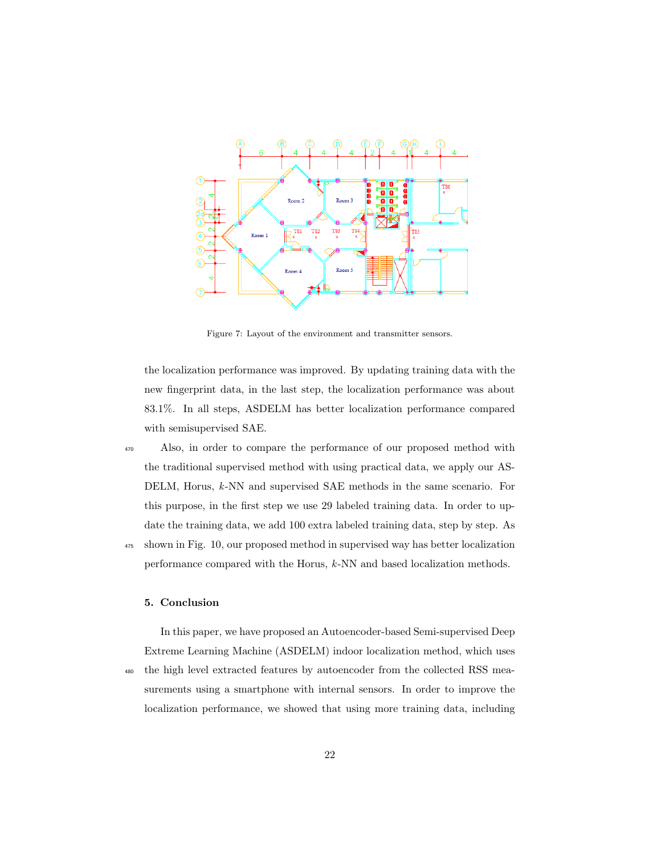

Figure 7: Layout of the environment and transmitter sensors.

the localization performance was improved. By updating training data with the new fingerprint data, in the last step, the localization performance was about 83.1%. In all steps, ASDELM has better localization performance compared with semisupervised SAE.

<sup>470</sup> Also, in order to compare the performance of our proposed method with the traditional supervised method with using practical data, we apply our AS-DELM, Horus, k-NN and supervised SAE methods in the same scenario. For this purpose, in the first step we use 29 labeled training data. In order to update the training data, we add 100 extra labeled training data, step by step. As

<sup>475</sup> shown in Fig. 10, our proposed method in supervised way has better localization performance compared with the Horus, k-NN and based localization methods.

#### 5. Conclusion

In this paper, we have proposed an Autoencoder-based Semi-supervised Deep Extreme Learning Machine (ASDELM) indoor localization method, which uses

<sup>480</sup> the high level extracted features by autoencoder from the collected RSS measurements using a smartphone with internal sensors. In order to improve the localization performance, we showed that using more training data, including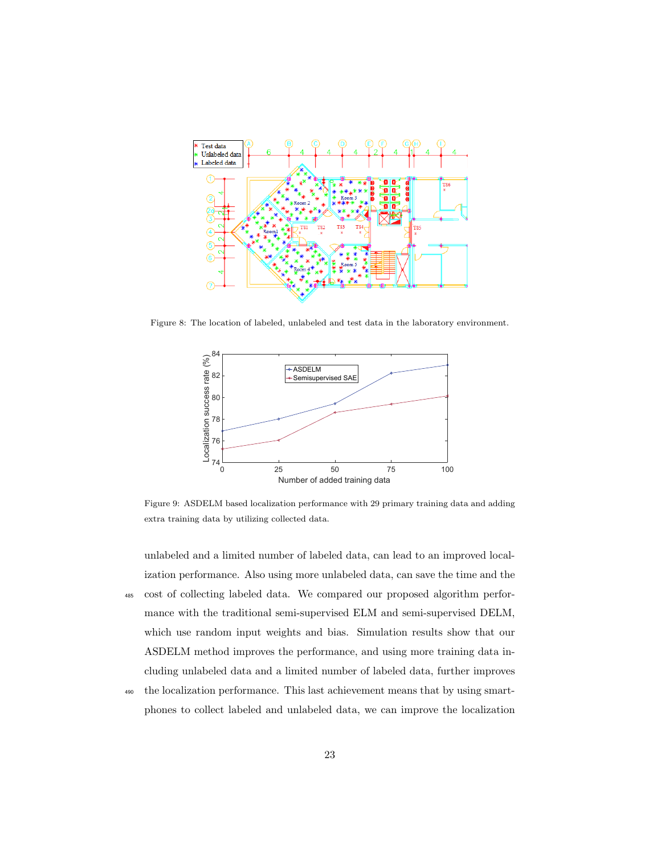

Figure 8: The location of labeled, unlabeled and test data in the laboratory environment.



Figure 9: ASDELM based localization performance with 29 primary training data and adding extra training data by utilizing collected data.

unlabeled and a limited number of labeled data, can lead to an improved localization performance. Also using more unlabeled data, can save the time and the

- <sup>485</sup> cost of collecting labeled data. We compared our proposed algorithm performance with the traditional semi-supervised ELM and semi-supervised DELM, which use random input weights and bias. Simulation results show that our ASDELM method improves the performance, and using more training data including unlabeled data and a limited number of labeled data, further improves
- <sup>490</sup> the localization performance. This last achievement means that by using smartphones to collect labeled and unlabeled data, we can improve the localization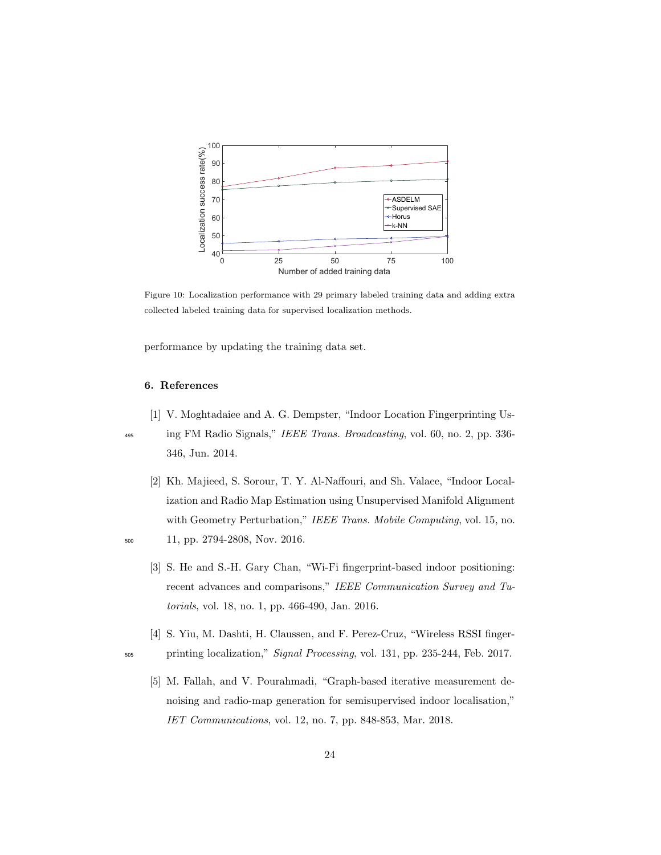

Figure 10: Localization performance with 29 primary labeled training data and adding extra collected labeled training data for supervised localization methods.

performance by updating the training data set.

# 6. References

- [1] V. Moghtadaiee and A. G. Dempster, "Indoor Location Fingerprinting Us-
- <sup>495</sup> ing FM Radio Signals," IEEE Trans. Broadcasting, vol. 60, no. 2, pp. 336-346, Jun. 2014.
- [2] Kh. Majieed, S. Sorour, T. Y. Al-Naffouri, and Sh. Valaee, "Indoor Localization and Radio Map Estimation using Unsupervised Manifold Alignment with Geometry Perturbation," IEEE Trans. Mobile Computing, vol. 15, no. <sup>500</sup> 11, pp. 2794-2808, Nov. 2016.

- - [3] S. He and S.-H. Gary Chan, "Wi-Fi fingerprint-based indoor positioning: recent advances and comparisons," IEEE Communication Survey and Tutorials, vol. 18, no. 1, pp. 466-490, Jan. 2016.
- [4] S. Yiu, M. Dashti, H. Claussen, and F. Perez-Cruz, "Wireless RSSI finger-<sup>505</sup> printing localization," Signal Processing, vol. 131, pp. 235-244, Feb. 2017.
	- [5] M. Fallah, and V. Pourahmadi, "Graph-based iterative measurement denoising and radio-map generation for semisupervised indoor localisation," IET Communications, vol. 12, no. 7, pp. 848-853, Mar. 2018.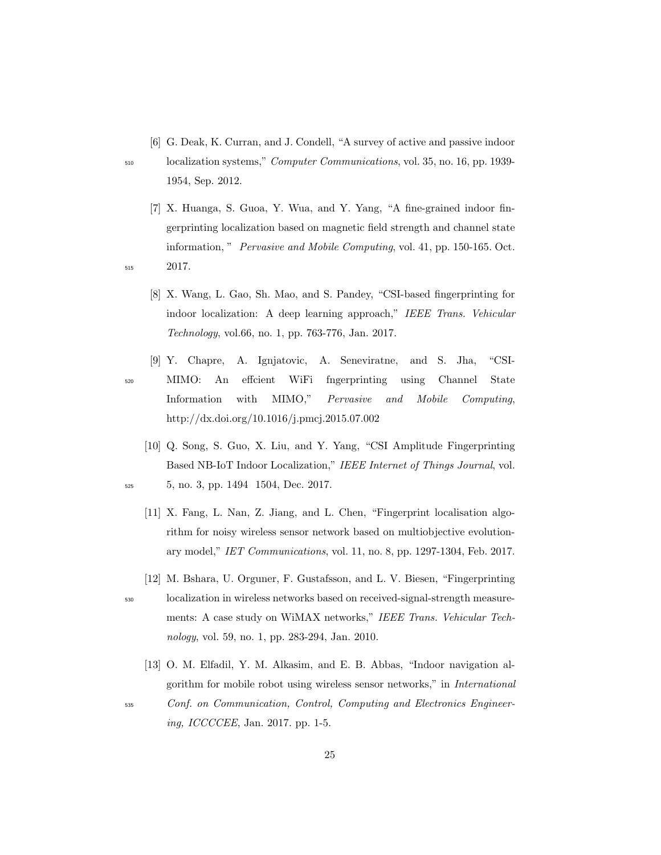[6] G. Deak, K. Curran, and J. Condell, "A survey of active and passive indoor

- <sup>510</sup> localization systems," Computer Communications, vol. 35, no. 16, pp. 1939- 1954, Sep. 2012.
- [7] X. Huanga, S. Guoa, Y. Wua, and Y. Yang, "A fine-grained indoor fingerprinting localization based on magnetic field strength and channel state information, " Pervasive and Mobile Computing, vol. 41, pp. 150-165. Oct. <sup>515</sup> 2017.
	- [8] X. Wang, L. Gao, Sh. Mao, and S. Pandey, "CSI-based fingerprinting for indoor localization: A deep learning approach," IEEE Trans. Vehicular Technology, vol.66, no. 1, pp. 763-776, Jan. 2017.
- [9] Y. Chapre, A. Ignjatovic, A. Seneviratne, and S. Jha, "CSI-<sup>520</sup> MIMO: An effcient WiFi fngerprinting using Channel State Information with MIMO," Pervasive and Mobile Computing, http://dx.doi.org/10.1016/j.pmcj.2015.07.002
- [10] Q. Song, S. Guo, X. Liu, and Y. Yang, "CSI Amplitude Fingerprinting Based NB-IoT Indoor Localization," IEEE Internet of Things Journal, vol. <sup>525</sup> 5, no. 3, pp. 1494 1504, Dec. 2017.
	- [11] X. Fang, L. Nan, Z. Jiang, and L. Chen, "Fingerprint localisation algorithm for noisy wireless sensor network based on multiobjective evolutionary model," IET Communications, vol. 11, no. 8, pp. 1297-1304, Feb. 2017.
- [12] M. Bshara, U. Orguner, F. Gustafsson, and L. V. Biesen, "Fingerprinting <sup>530</sup> localization in wireless networks based on received-signal-strength measurements: A case study on WiMAX networks," IEEE Trans. Vehicular Technology, vol. 59, no. 1, pp. 283-294, Jan. 2010.
	- [13] O. M. Elfadil, Y. M. Alkasim, and E. B. Abbas, "Indoor navigation algorithm for mobile robot using wireless sensor networks," in International

<sup>535</sup> Conf. on Communication, Control, Computing and Electronics Engineering, ICCCCEE, Jan. 2017. pp. 1-5.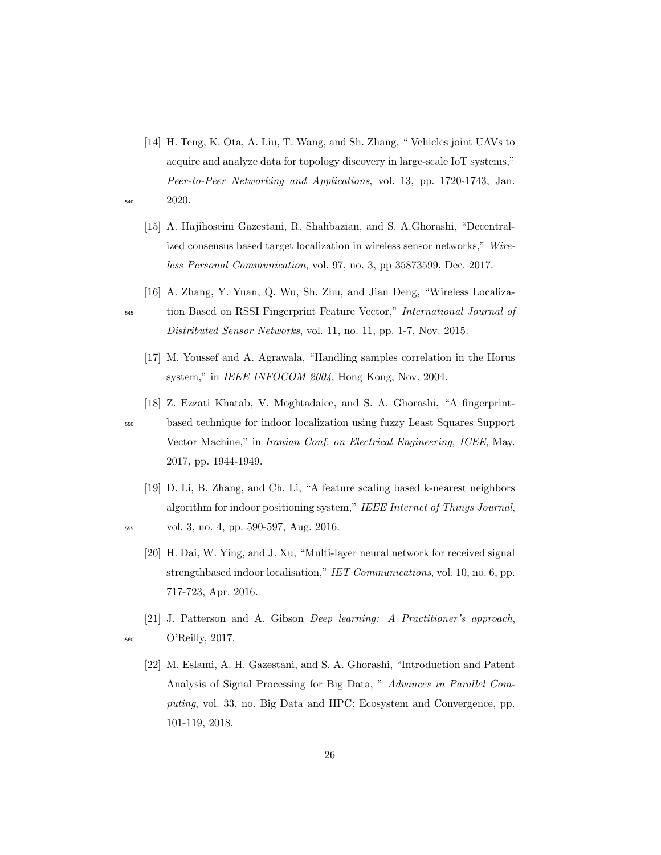- [14] H. Teng, K. Ota, A. Liu, T. Wang, and Sh. Zhang, " Vehicles joint UAVs to acquire and analyze data for topology discovery in large-scale IoT systems," Peer-to-Peer Networking and Applications, vol. 13, pp. 1720-1743, Jan. <sup>540</sup> 2020.
	- [15] A. Hajihoseini Gazestani, R. Shahbazian, and S. A.Ghorashi, "Decentralized consensus based target localization in wireless sensor networks," Wireless Personal Communication, vol. 97, no. 3, pp 35873599, Dec. 2017.
	- [16] A. Zhang, Y. Yuan, Q. Wu, Sh. Zhu, and Jian Deng, "Wireless Localiza-

- <sup>545</sup> tion Based on RSSI Fingerprint Feature Vector," International Journal of Distributed Sensor Networks, vol. 11, no. 11, pp. 1-7, Nov. 2015.
	- [17] M. Youssef and A. Agrawala, "Handling samples correlation in the Horus system," in IEEE INFOCOM 2004, Hong Kong, Nov. 2004.
	- [18] Z. Ezzati Khatab, V. Moghtadaiee, and S. A. Ghorashi, "A fingerprint-

<sup>550</sup> based technique for indoor localization using fuzzy Least Squares Support Vector Machine," in Iranian Conf. on Electrical Engineering, ICEE, May. 2017, pp. 1944-1949.

- [19] D. Li, B. Zhang, and Ch. Li, "A feature scaling based k-nearest neighbors algorithm for indoor positioning system," IEEE Internet of Things Journal, <sup>555</sup> vol. 3, no. 4, pp. 590-597, Aug. 2016.
	- [20] H. Dai, W. Ying, and J. Xu, "Multi-layer neural network for received signal strengthbased indoor localisation," IET Communications, vol. 10, no. 6, pp. 717-723, Apr. 2016.
- [21] J. Patterson and A. Gibson Deep learning: A Practitioner's approach, <sup>560</sup> O'Reilly, 2017.
- 

[22] M. Eslami, A. H. Gazestani, and S. A. Ghorashi, "Introduction and Patent Analysis of Signal Processing for Big Data, " Advances in Parallel Computing, vol. 33, no. Big Data and HPC: Ecosystem and Convergence, pp. 101-119, 2018.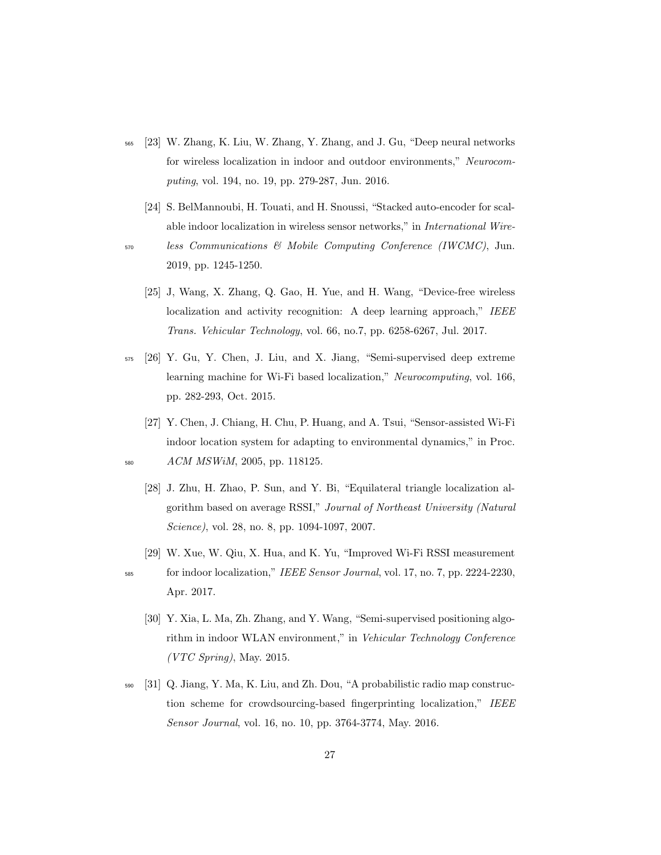- <sup>565</sup> [23] W. Zhang, K. Liu, W. Zhang, Y. Zhang, and J. Gu, "Deep neural networks for wireless localization in indoor and outdoor environments," Neurocomputing, vol. 194, no. 19, pp. 279-287, Jun. 2016.
- [24] S. BelMannoubi, H. Touati, and H. Snoussi, "Stacked auto-encoder for scalable indoor localization in wireless sensor networks," in International Wire-<sup>570</sup> less Communications & Mobile Computing Conference (IWCMC), Jun. 2019, pp. 1245-1250.
	- [25] J, Wang, X. Zhang, Q. Gao, H. Yue, and H. Wang, "Device-free wireless localization and activity recognition: A deep learning approach," IEEE Trans. Vehicular Technology, vol. 66, no.7, pp. 6258-6267, Jul. 2017.
- <sup>575</sup> [26] Y. Gu, Y. Chen, J. Liu, and X. Jiang, "Semi-supervised deep extreme learning machine for Wi-Fi based localization," Neurocomputing, vol. 166, pp. 282-293, Oct. 2015.
- [27] Y. Chen, J. Chiang, H. Chu, P. Huang, and A. Tsui, "Sensor-assisted Wi-Fi indoor location system for adapting to environmental dynamics," in Proc. <sup>580</sup> ACM MSWiM, 2005, pp. 118125.
	- [28] J. Zhu, H. Zhao, P. Sun, and Y. Bi, "Equilateral triangle localization algorithm based on average RSSI," Journal of Northeast University (Natural Science), vol. 28, no. 8, pp. 1094-1097, 2007.
	- [29] W. Xue, W. Qiu, X. Hua, and K. Yu, "Improved Wi-Fi RSSI measurement
- <sup>585</sup> for indoor localization," IEEE Sensor Journal, vol. 17, no. 7, pp. 2224-2230, Apr. 2017.
	- [30] Y. Xia, L. Ma, Zh. Zhang, and Y. Wang, "Semi-supervised positioning algorithm in indoor WLAN environment," in Vehicular Technology Conference  $(VTC$  Spring), May. 2015.
- <sup>590</sup> [31] Q. Jiang, Y. Ma, K. Liu, and Zh. Dou, "A probabilistic radio map construction scheme for crowdsourcing-based fingerprinting localization," IEEE Sensor Journal, vol. 16, no. 10, pp. 3764-3774, May. 2016.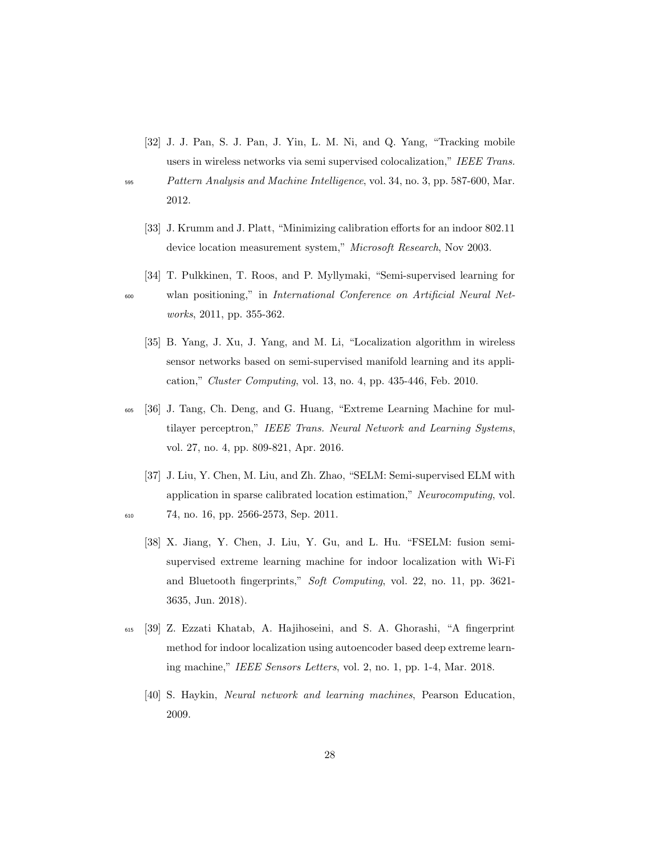[32] J. J. Pan, S. J. Pan, J. Yin, L. M. Ni, and Q. Yang, "Tracking mobile users in wireless networks via semi supervised colocalization," IEEE Trans.

- <sup>595</sup> Pattern Analysis and Machine Intelligence, vol. 34, no. 3, pp. 587-600, Mar. 2012.
	- [33] J. Krumm and J. Platt, "Minimizing calibration efforts for an indoor 802.11 device location measurement system," *Microsoft Research*, Nov 2003.
- [34] T. Pulkkinen, T. Roos, and P. Myllymaki, "Semi-supervised learning for <sup>600</sup> wlan positioning," in International Conference on Artificial Neural Networks, 2011, pp. 355-362.
	- [35] B. Yang, J. Xu, J. Yang, and M. Li, "Localization algorithm in wireless sensor networks based on semi-supervised manifold learning and its application," Cluster Computing, vol. 13, no. 4, pp. 435-446, Feb. 2010.
- <sup>605</sup> [36] J. Tang, Ch. Deng, and G. Huang, "Extreme Learning Machine for multilayer perceptron," IEEE Trans. Neural Network and Learning Systems, vol. 27, no. 4, pp. 809-821, Apr. 2016.
- [37] J. Liu, Y. Chen, M. Liu, and Zh. Zhao, "SELM: Semi-supervised ELM with application in sparse calibrated location estimation," Neurocomputing, vol. <sup>610</sup> 74, no. 16, pp. 2566-2573, Sep. 2011.
	- [38] X. Jiang, Y. Chen, J. Liu, Y. Gu, and L. Hu. "FSELM: fusion semisupervised extreme learning machine for indoor localization with Wi-Fi and Bluetooth fingerprints," Soft Computing, vol. 22, no. 11, pp. 3621- 3635, Jun. 2018).
- <sup>615</sup> [39] Z. Ezzati Khatab, A. Hajihoseini, and S. A. Ghorashi, "A fingerprint method for indoor localization using autoencoder based deep extreme learning machine," IEEE Sensors Letters, vol. 2, no. 1, pp. 1-4, Mar. 2018.
	- [40] S. Haykin, Neural network and learning machines, Pearson Education, 2009.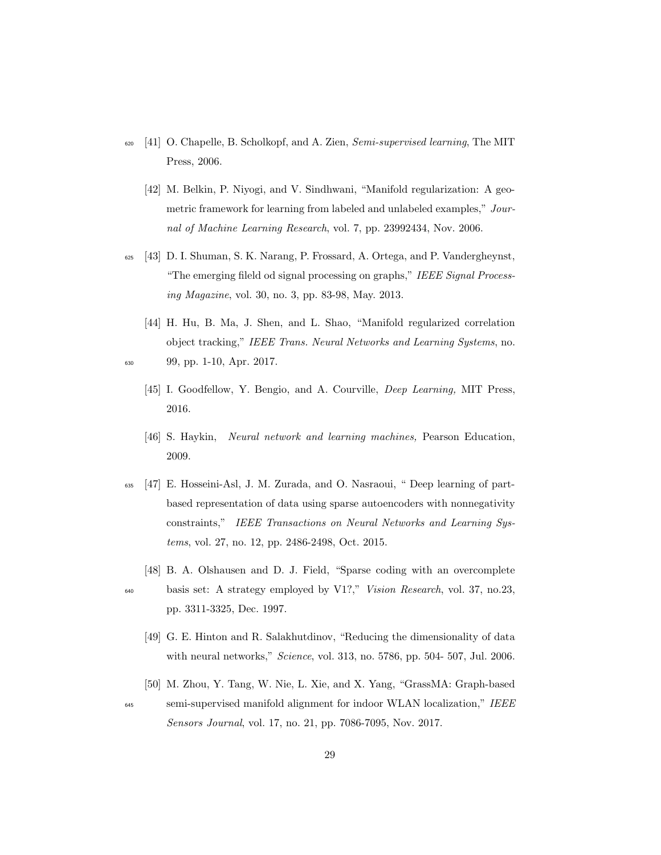- <sup>620</sup> [41] O. Chapelle, B. Scholkopf, and A. Zien, Semi-supervised learning, The MIT Press, 2006.
	- [42] M. Belkin, P. Niyogi, and V. Sindhwani, "Manifold regularization: A geometric framework for learning from labeled and unlabeled examples," Journal of Machine Learning Research, vol. 7, pp. 23992434, Nov. 2006.
- <sup>625</sup> [43] D. I. Shuman, S. K. Narang, P. Frossard, A. Ortega, and P. Vandergheynst, "The emerging fileld od signal processing on graphs," IEEE Signal Processing Magazine, vol. 30, no. 3, pp. 83-98, May. 2013.
- [44] H. Hu, B. Ma, J. Shen, and L. Shao, "Manifold regularized correlation object tracking," IEEE Trans. Neural Networks and Learning Systems, no. <sup>630</sup> 99, pp. 1-10, Apr. 2017.
	- [45] I. Goodfellow, Y. Bengio, and A. Courville, *Deep Learning*, MIT Press, 2016.
	- [46] S. Haykin, Neural network and learning machines, Pearson Education, 2009.
- <sup>635</sup> [47] E. Hosseini-Asl, J. M. Zurada, and O. Nasraoui, " Deep learning of partbased representation of data using sparse autoencoders with nonnegativity constraints," IEEE Transactions on Neural Networks and Learning Systems, vol. 27, no. 12, pp. 2486-2498, Oct. 2015.
	- [48] B. A. Olshausen and D. J. Field, "Sparse coding with an overcomplete

- <sup>640</sup> basis set: A strategy employed by V1?," Vision Research, vol. 37, no.23, pp. 3311-3325, Dec. 1997.
	- [49] G. E. Hinton and R. Salakhutdinov, "Reducing the dimensionality of data with neural networks," Science, vol. 313, no. 5786, pp. 504- 507, Jul. 2006.
- [50] M. Zhou, Y. Tang, W. Nie, L. Xie, and X. Yang, "GrassMA: Graph-based <sup>645</sup> semi-supervised manifold alignment for indoor WLAN localization," IEEE Sensors Journal, vol. 17, no. 21, pp. 7086-7095, Nov. 2017.